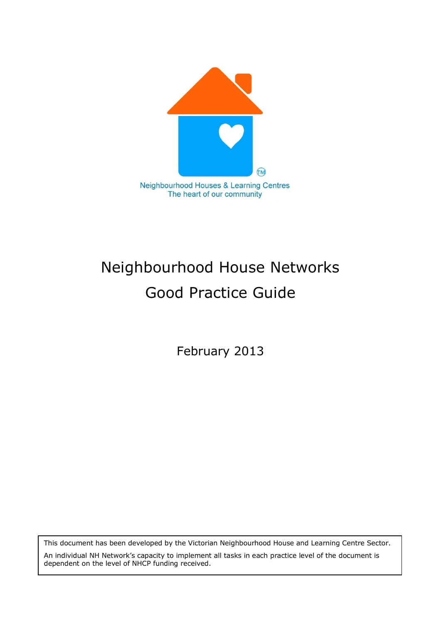

# Neighbourhood House Networks Good Practice Guide

February 2013

This document has been developed by the Victorian Neighbourhood House and Learning Centre Sector.

An individual NH Network's capacity to implement all tasks in each practice level of the document is dependent on the level of NHCP funding received.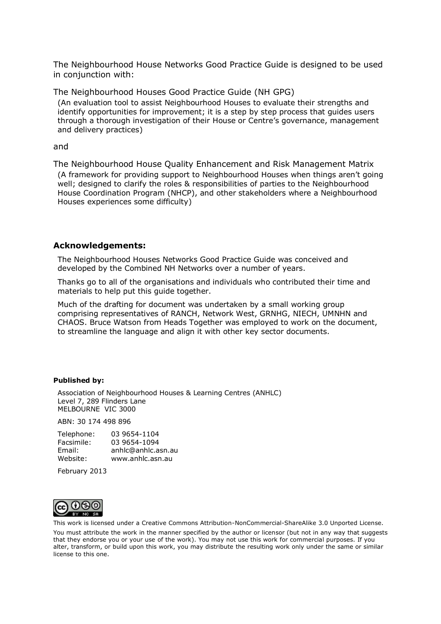The Neighbourhood House Networks Good Practice Guide is designed to be used in conjunction with:

The Neighbourhood Houses Good Practice Guide (NH GPG)

(An evaluation tool to assist Neighbourhood Houses to evaluate their strengths and identify opportunities for improvement; it is a step by step process that guides users through a thorough investigation of their House or Centre's governance, management and delivery practices)

#### and

The Neighbourhood House Quality Enhancement and Risk Management Matrix (A framework for providing support to Neighbourhood Houses when things aren't going well; designed to clarify the roles & responsibilities of parties to the Neighbourhood House Coordination Program (NHCP), and other stakeholders where a Neighbourhood Houses experiences some difficulty)

#### **Acknowledgements:**

The Neighbourhood Houses Networks Good Practice Guide was conceived and developed by the Combined NH Networks over a number of years.

Thanks go to all of the organisations and individuals who contributed their time and materials to help put this guide together.

Much of the drafting for document was undertaken by a small working group comprising representatives of RANCH, Network West, GRNHG, NIECH, UMNHN and CHAOS. Bruce Watson from Heads Together was employed to work on the document, to streamline the language and align it with other key sector documents.

#### **Published by:**

Association of Neighbourhood Houses & Learning Centres (ANHLC) Level 7, 289 Flinders Lane MELBOURNE VIC 3000

ABN: 30 174 498 896

| Telephone: | 03 9654-1104       |
|------------|--------------------|
| Facsimile: | 03 9654-1094       |
| Email:     | anhIc@anhIc.asn.au |
| Website:   | www.anhlc.asn.au   |
|            |                    |

February 2013



This work is licensed under a Creative Commons Attribution-NonCommercial-ShareAlike 3.0 Unported License.

You must attribute the work in the manner specified by the author or licensor (but not in any way that suggests that they endorse you or your use of the work). You may not use this work for commercial purposes. If you alter, transform, or build upon this work, you may distribute the resulting work only under the same or similar license to this one.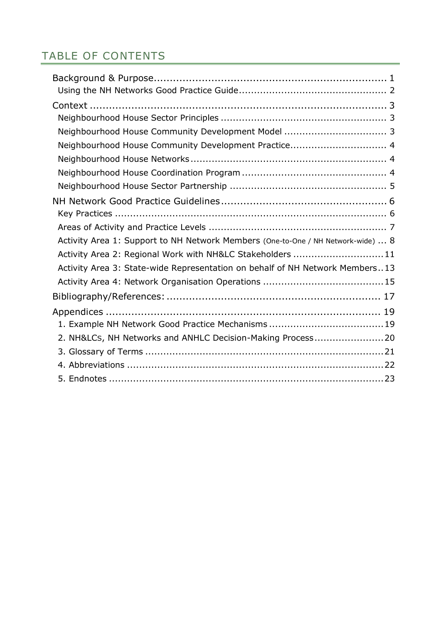# TABLE OF CONTENTS

| Neighbourhood House Community Development Model  3                               |
|----------------------------------------------------------------------------------|
| Neighbourhood House Community Development Practice 4                             |
|                                                                                  |
|                                                                                  |
|                                                                                  |
|                                                                                  |
|                                                                                  |
|                                                                                  |
| Activity Area 1: Support to NH Network Members (One-to-One / NH Network-wide)  8 |
| Activity Area 2: Regional Work with NH&LC Stakeholders 11                        |
| Activity Area 3: State-wide Representation on behalf of NH Network Members13     |
|                                                                                  |
|                                                                                  |
|                                                                                  |
|                                                                                  |
| 2. NH&LCS, NH Networks and ANHLC Decision-Making Process20                       |
|                                                                                  |
|                                                                                  |
|                                                                                  |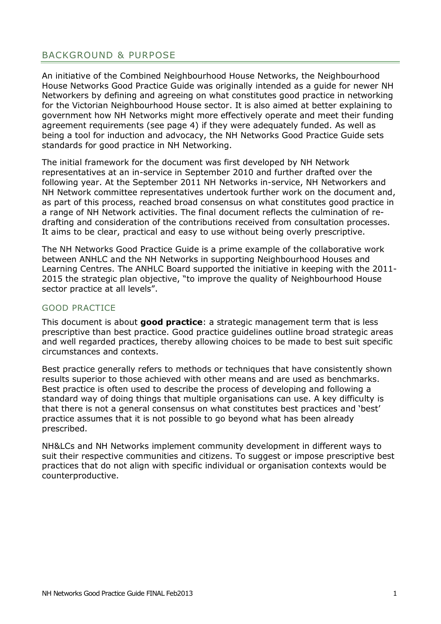# <span id="page-3-0"></span>BACKGROUND & PURPOSE

An initiative of the Combined Neighbourhood House Networks, the Neighbourhood House Networks Good Practice Guide was originally intended as a guide for newer NH Networkers by defining and agreeing on what constitutes good practice in networking for the Victorian Neighbourhood House sector. It is also aimed at better explaining to government how NH Networks might more effectively operate and meet their funding agreement requirements (see page 4) if they were adequately funded. As well as being a tool for induction and advocacy, the NH Networks Good Practice Guide sets standards for good practice in NH Networking.

The initial framework for the document was first developed by NH Network representatives at an in-service in September 2010 and further drafted over the following year. At the September 2011 NH Networks in-service, NH Networkers and NH Network committee representatives undertook further work on the document and, as part of this process, reached broad consensus on what constitutes good practice in a range of NH Network activities. The final document reflects the culmination of redrafting and consideration of the contributions received from consultation processes. It aims to be clear, practical and easy to use without being overly prescriptive.

The NH Networks Good Practice Guide is a prime example of the collaborative work between ANHLC and the NH Networks in supporting Neighbourhood Houses and Learning Centres. The ANHLC Board supported the initiative in keeping with the 2011- 2015 the strategic plan objective, "to improve the quality of Neighbourhood House sector practice at all levels".

#### GOOD PRACTICE

This document is about **good practice**: a strategic management term that is less prescriptive than best practice. Good practice guidelines outline broad strategic areas and well regarded practices, thereby allowing choices to be made to best suit specific circumstances and contexts.

Best practice generally refers to [methods](http://www.businessdictionary.com/definition/method.html) or [techniques](http://www.businessdictionary.com/definition/technique.html) that have consistently shown [results](http://www.businessdictionary.com/definition/result.html) superior to those achieved with other [means](http://www.businessdictionary.com/definition/mean.html) and are used as [benchmarks](http://www.businessdictionary.com/definition/benchmark.html). Best practice is often used to describe the process of developing and following a standard way of doing things that multiple organisations can use. A key difficulty is that there is not a general consensus on what constitutes best practices and 'best' practice assumes that it is not possible to go beyond what has been already prescribed.

NH&LCs and NH Networks implement community development in different ways to suit their respective communities and citizens. To suggest or impose prescriptive best practices that do not align with specific individual or organisation contexts would be counterproductive.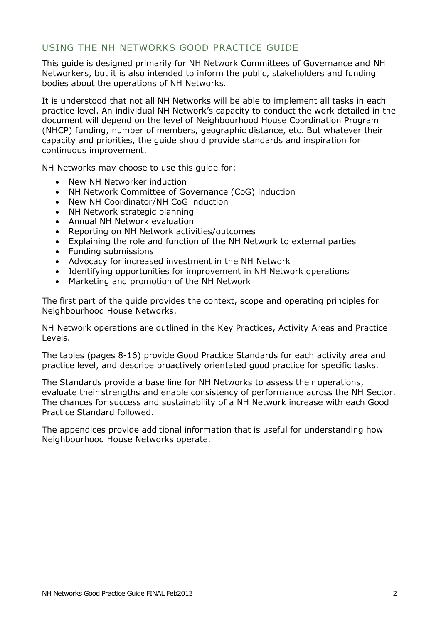# <span id="page-4-0"></span>USING THE NH NETWORKS GOOD PRACTICE GUIDE

This guide is designed primarily for NH Network Committees of Governance and NH Networkers, but it is also intended to inform the public, stakeholders and funding bodies about the operations of NH Networks.

It is understood that not all NH Networks will be able to implement all tasks in each practice level. An individual NH Network's capacity to conduct the work detailed in the document will depend on the level of Neighbourhood House Coordination Program (NHCP) funding, number of members, geographic distance, etc. But whatever their capacity and priorities, the guide should provide standards and inspiration for continuous improvement.

NH Networks may choose to use this guide for:

- New NH Networker induction
- NH Network Committee of Governance (CoG) induction
- New NH Coordinator/NH CoG induction
- NH Network strategic planning
- Annual NH Network evaluation
- Reporting on NH Network activities/outcomes
- Explaining the role and function of the NH Network to external parties
- Funding submissions
- Advocacy for increased investment in the NH Network
- Identifying opportunities for improvement in NH Network operations
- Marketing and promotion of the NH Network

The first part of the guide provides the context, scope and operating principles for Neighbourhood House Networks.

NH Network operations are outlined in the Key Practices, Activity Areas and Practice Levels.

The tables (pages 8-16) provide Good Practice Standards for each activity area and practice level, and describe proactively orientated good practice for specific tasks.

The Standards provide a base line for NH Networks to assess their operations, evaluate their strengths and enable consistency of performance across the NH Sector. The chances for success and sustainability of a NH Network increase with each Good Practice Standard followed.

The appendices provide additional information that is useful for understanding how Neighbourhood House Networks operate.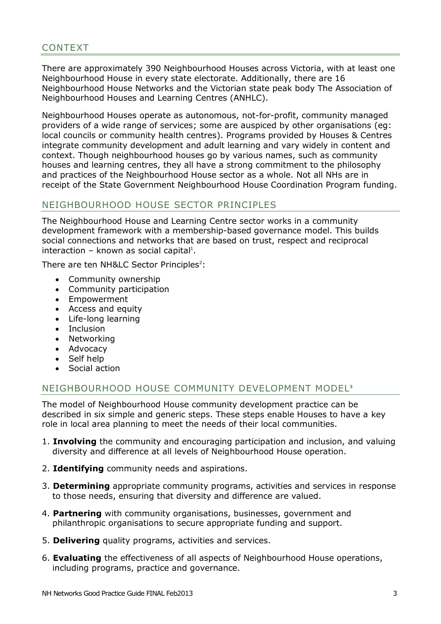# <span id="page-5-0"></span>CONTEXT

There are approximately 390 Neighbourhood Houses across Victoria, with at least one Neighbourhood House in every state electorate. Additionally, there are 16 Neighbourhood House Networks and the Victorian state peak body The Association of Neighbourhood Houses and Learning Centres (ANHLC).

Neighbourhood Houses operate as autonomous, not-for-profit, community managed providers of a wide range of services; some are auspiced by other organisations (eg: local councils or community health centres). Programs provided by Houses & Centres integrate community development and adult learning and vary widely in content and context. Though neighbourhood houses go by various names, such as community houses and learning centres, they all have a strong commitment to the philosophy and practices of the Neighbourhood House sector as a whole. Not all NHs are in receipt of the State Government Neighbourhood House Coordination Program funding.

## <span id="page-5-1"></span>NEIGHBOURHOOD HOUSE SECTOR PRINCIPLES

The Neighbourhood House and Learning Centre sector works in a community development framework with a membership-based governance model. This builds social connections and networks that are based on trust, respect and reciprocal  $interaction - known as social capital<sup>1</sup>.$ 

There are ten NH&LC Sector Principles<sup>2</sup>:

- Community ownership
- Community participation
- Empowerment
- Access and equity
- Life-long learning
- Inclusion
- Networking
- Advocacy
- Self help
- Social action

## <span id="page-5-2"></span>NEIGHBOURHOOD HOUSE COMMUNITY DEVELOPMENT MODEL<sup>3</sup>

The model of Neighbourhood House community development practice can be described in six simple and generic steps. These steps enable Houses to have a key role in local area planning to meet the needs of their local communities.

- 1. **Involving** the community and encouraging participation and inclusion, and valuing diversity and difference at all levels of Neighbourhood House operation.
- 2. **Identifying** community needs and aspirations.
- 3. **Determining** appropriate community programs, activities and services in response to those needs, ensuring that diversity and difference are valued.
- 4. **Partnering** with community organisations, businesses, government and philanthropic organisations to secure appropriate funding and support.
- 5. **Delivering** quality programs, activities and services.
- 6. **Evaluating** the effectiveness of all aspects of Neighbourhood House operations, including programs, practice and governance.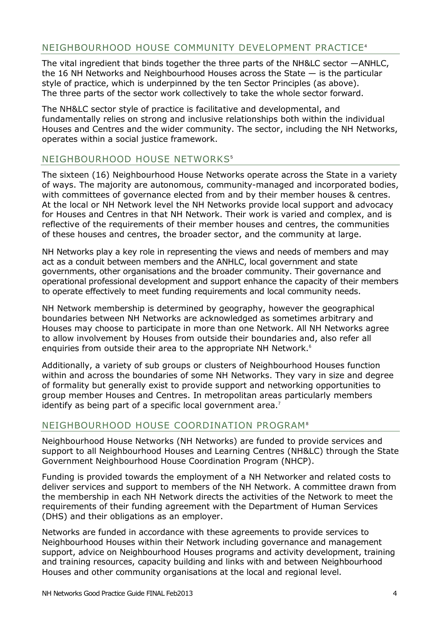# <span id="page-6-0"></span>NEIGHBOURHOOD HOUSE COMMUNITY DEVELOPMENT PRACTICE<sup>4</sup>

The vital ingredient that binds together the three parts of the NH&LC sector —ANHLC, the 16 NH Networks and Neighbourhood Houses across the State — is the particular style of practice, which is underpinned by the ten Sector Principles (as above). The three parts of the sector work collectively to take the whole sector forward.

The NH&LC sector style of practice is facilitative and developmental, and fundamentally relies on strong and inclusive relationships both within the individual Houses and Centres and the wider community. The sector, including the NH Networks, operates within a social justice framework.

# <span id="page-6-1"></span>NEIGHBOURHOOD HOUSE NETWORKS<sup>5</sup>

The sixteen (16) Neighbourhood House Networks operate across the State in a variety of ways. The majority are autonomous, community-managed and incorporated bodies, with committees of governance elected from and by their member houses & centres. At the local or NH Network level the NH Networks provide local support and advocacy for Houses and Centres in that NH Network. Their work is varied and complex, and is reflective of the requirements of their member houses and centres, the communities of these houses and centres, the broader sector, and the community at large.

NH Networks play a key role in representing the views and needs of members and may act as a conduit between members and the ANHLC, local government and state governments, other organisations and the broader community. Their governance and operational professional development and support enhance the capacity of their members to operate effectively to meet funding requirements and local community needs.

NH Network membership is determined by geography, however the geographical boundaries between NH Networks are acknowledged as sometimes arbitrary and Houses may choose to participate in more than one Network. All NH Networks agree to allow involvement by Houses from outside their boundaries and, also refer all enquiries from outside their area to the appropriate NH Network.<sup>6</sup>

Additionally, a variety of sub groups or clusters of Neighbourhood Houses function within and across the boundaries of some NH Networks. They vary in size and degree of formality but generally exist to provide support and networking opportunities to group member Houses and Centres. In metropolitan areas particularly members identify as being part of a specific local government area.<sup>7</sup>

## <span id="page-6-2"></span>NEIGHBOURHOOD HOUSE COORDINATION PROGRAM<sup>8</sup>

Neighbourhood House Networks (NH Networks) are funded to provide services and support to all Neighbourhood Houses and Learning Centres (NH&LC) through the State Government Neighbourhood House Coordination Program (NHCP).

Funding is provided towards the employment of a NH Networker and related costs to deliver services and support to members of the NH Network. A committee drawn from the membership in each NH Network directs the activities of the Network to meet the requirements of their funding agreement with the Department of Human Services (DHS) and their obligations as an employer.

Networks are funded in accordance with these agreements to provide services to Neighbourhood Houses within their Network including governance and management support, advice on Neighbourhood Houses programs and activity development, training and training resources, capacity building and links with and between Neighbourhood Houses and other community organisations at the local and regional level.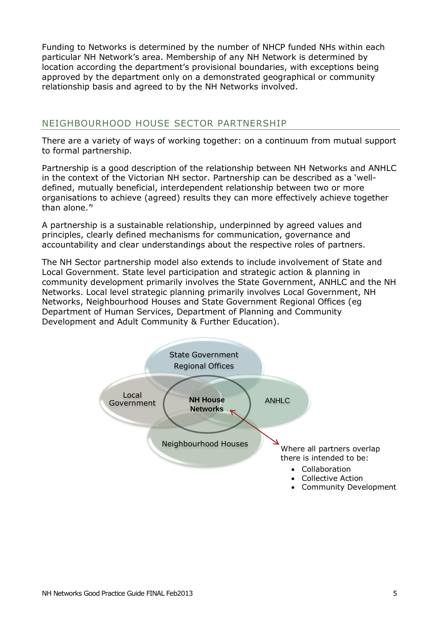Funding to Networks is determined by the number of NHCP funded NHs within each particular NH Network's area. Membership of any NH Network is determined by location according the department's provisional boundaries, with exceptions being approved by the department only on a demonstrated geographical or community relationship basis and agreed to by the NH Networks involved.

## <span id="page-7-0"></span>NEIGHBOURHOOD HOUSE SECTOR PARTNERSHIP

There are a variety of ways of working together: on a continuum from mutual support to formal partnership.

Partnership is a good description of the relationship between NH Networks and ANHLC in the context of the Victorian NH sector. Partnership can be described as a 'welldefined, mutually beneficial, interdependent relationship between two or more organisations to achieve (agreed) results they can more effectively achieve together than alone.<sup>"9</sup>

A partnership is a sustainable relationship, underpinned by agreed values and principles, clearly defined mechanisms for communication, governance and accountability and clear understandings about the respective roles of partners.

The NH Sector partnership model also extends to include involvement of State and Local Government. State level participation and strategic action & planning in community development primarily involves the State Government, ANHLC and the NH Networks. Local level strategic planning primarily involves Local Government, NH Networks, Neighbourhood Houses and State Government Regional Offices (eg Department of Human Services, Department of Planning and Community Development and Adult Community & Further Education).

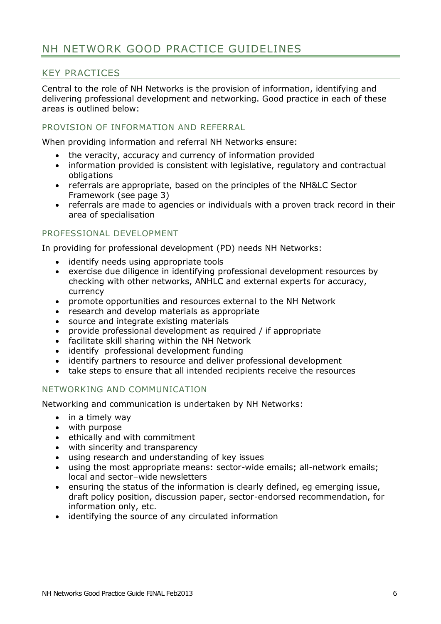# <span id="page-8-0"></span>NH NETWORK GOOD PRACTICE GUIDELINES

# <span id="page-8-1"></span>KEY PRACTICES

Central to the role of NH Networks is the provision of information, identifying and delivering professional development and networking. Good practice in each of these areas is outlined below:

#### PROVISION OF INFORMATION AND REFERRAL

When providing information and referral NH Networks ensure:

- the veracity, accuracy and currency of information provided
- information provided is consistent with legislative, regulatory and contractual obligations
- referrals are appropriate, based on the principles of the NH&LC Sector Framework (see page 3)
- referrals are made to agencies or individuals with a proven track record in their area of specialisation

#### PROFESSIONAL DEVELOPMENT

In providing for professional development (PD) needs NH Networks:

- identify needs using appropriate tools
- exercise due diligence in identifying professional development resources by checking with other networks, ANHLC and external experts for accuracy, currency
- promote opportunities and resources external to the NH Network
- research and develop materials as appropriate
- source and integrate existing materials
- provide professional development as required / if appropriate
- facilitate skill sharing within the NH Network
- identify professional development funding
- identify partners to resource and deliver professional development
- take steps to ensure that all intended recipients receive the resources

## NETWORKING AND COMMUNICATION

Networking and communication is undertaken by NH Networks:

- in a timely way
- with purpose
- ethically and with commitment
- with sincerity and transparency
- using research and understanding of key issues
- using the most appropriate means: sector-wide emails; all-network emails; local and sector–wide newsletters
- ensuring the status of the information is clearly defined, eg emerging issue, draft policy position, discussion paper, sector-endorsed recommendation, for information only, etc.
- identifying the source of any circulated information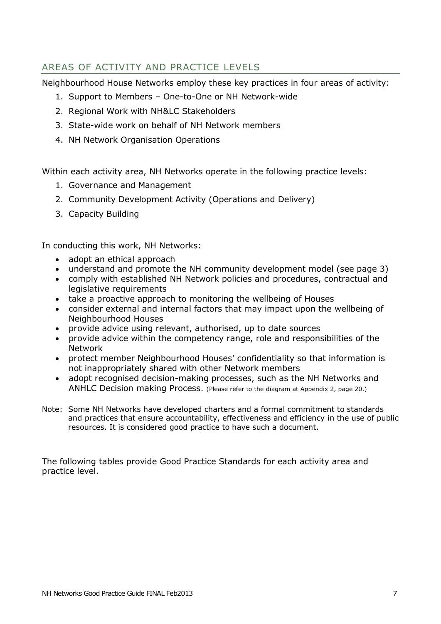# <span id="page-9-0"></span>AREAS OF ACTIVITY AND PRACTICE LEVELS

Neighbourhood House Networks employ these key practices in four areas of activity:

- 1. Support to Members One-to-One or NH Network-wide
- 2. Regional Work with NH&LC Stakeholders
- 3. State-wide work on behalf of NH Network members
- 4. NH Network Organisation Operations

Within each activity area, NH Networks operate in the following practice levels:

- 1. Governance and Management
- 2. Community Development Activity (Operations and Delivery)
- 3. Capacity Building

In conducting this work, NH Networks:

- adopt an ethical approach
- understand and promote the NH community development model (see page 3)
- comply with established NH Network policies and procedures, contractual and legislative requirements
- take a proactive approach to monitoring the wellbeing of Houses
- consider external and internal factors that may impact upon the wellbeing of Neighbourhood Houses
- provide advice using relevant, authorised, up to date sources
- provide advice within the competency range, role and responsibilities of the Network
- protect member Neighbourhood Houses' confidentiality so that information is not inappropriately shared with other Network members
- adopt recognised decision-making processes, such as the NH Networks and ANHLC Decision making Process. (Please refer to the diagram at Appendix 2, page 20.)
- Note: Some NH Networks have developed charters and a formal commitment to standards and practices that ensure accountability, effectiveness and efficiency in the use of public resources. It is considered good practice to have such a document.

The following tables provide Good Practice Standards for each activity area and practice level.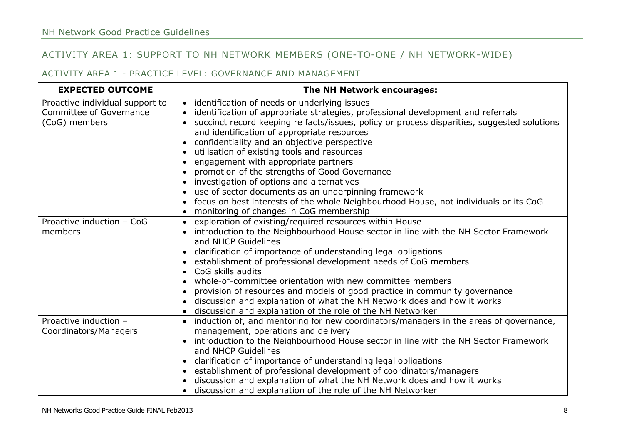# ACTIVITY AREA 1: SUPPORT TO NH NETWORK MEMBERS (ONE-TO-ONE / NH NETWORK-WIDE)

#### ACTIVITY AREA 1 - PRACTICE LEVEL: GOVERNANCE AND MANAGEMENT

<span id="page-10-0"></span>

| <b>EXPECTED OUTCOME</b>                                                     | The NH Network encourages:                                                                                                                                                                                                                                                                                                                                                                                                                                                                                                                                                                                                                                                                                       |
|-----------------------------------------------------------------------------|------------------------------------------------------------------------------------------------------------------------------------------------------------------------------------------------------------------------------------------------------------------------------------------------------------------------------------------------------------------------------------------------------------------------------------------------------------------------------------------------------------------------------------------------------------------------------------------------------------------------------------------------------------------------------------------------------------------|
| Proactive individual support to<br>Committee of Governance<br>(CoG) members | • identification of needs or underlying issues<br>identification of appropriate strategies, professional development and referrals<br>succinct record keeping re facts/issues, policy or process disparities, suggested solutions<br>and identification of appropriate resources<br>confidentiality and an objective perspective<br>utilisation of existing tools and resources<br>engagement with appropriate partners<br>promotion of the strengths of Good Governance<br>investigation of options and alternatives<br>use of sector documents as an underpinning framework<br>focus on best interests of the whole Neighbourhood House, not individuals or its CoG<br>monitoring of changes in CoG membership |
| Proactive induction - CoG<br>members                                        | exploration of existing/required resources within House<br>introduction to the Neighbourhood House sector in line with the NH Sector Framework<br>and NHCP Guidelines<br>clarification of importance of understanding legal obligations<br>establishment of professional development needs of CoG members<br>CoG skills audits<br>whole-of-committee orientation with new committee members<br>provision of resources and models of good practice in community governance<br>discussion and explanation of what the NH Network does and how it works<br>discussion and explanation of the role of the NH Networker                                                                                               |
| Proactive induction -<br>Coordinators/Managers                              | induction of, and mentoring for new coordinators/managers in the areas of governance,<br>management, operations and delivery<br>introduction to the Neighbourhood House sector in line with the NH Sector Framework<br>and NHCP Guidelines<br>clarification of importance of understanding legal obligations<br>establishment of professional development of coordinators/managers<br>discussion and explanation of what the NH Network does and how it works<br>discussion and explanation of the role of the NH Networker                                                                                                                                                                                      |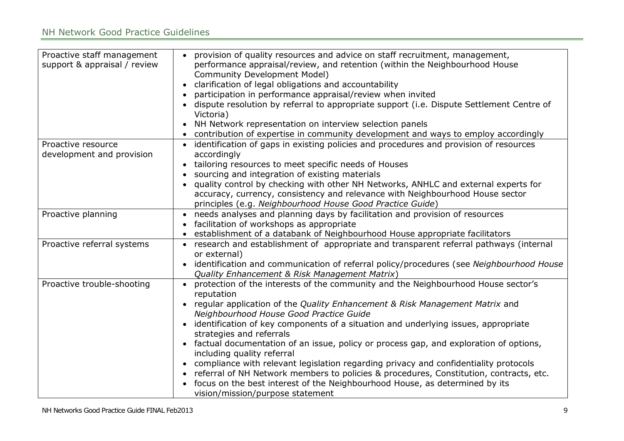| Proactive staff management<br>support & appraisal / review | provision of quality resources and advice on staff recruitment, management,<br>performance appraisal/review, and retention (within the Neighbourhood House<br><b>Community Development Model)</b><br>clarification of legal obligations and accountability<br>participation in performance appraisal/review when invited<br>dispute resolution by referral to appropriate support (i.e. Dispute Settlement Centre of<br>Victoria)<br>NH Network representation on interview selection panels<br>$\bullet$<br>contribution of expertise in community development and ways to employ accordingly                                                                                                                                                                                                    |
|------------------------------------------------------------|---------------------------------------------------------------------------------------------------------------------------------------------------------------------------------------------------------------------------------------------------------------------------------------------------------------------------------------------------------------------------------------------------------------------------------------------------------------------------------------------------------------------------------------------------------------------------------------------------------------------------------------------------------------------------------------------------------------------------------------------------------------------------------------------------|
| Proactive resource<br>development and provision            | identification of gaps in existing policies and procedures and provision of resources<br>accordingly<br>tailoring resources to meet specific needs of Houses<br>sourcing and integration of existing materials<br>quality control by checking with other NH Networks, ANHLC and external experts for<br>accuracy, currency, consistency and relevance with Neighbourhood House sector<br>principles (e.g. Neighbourhood House Good Practice Guide)                                                                                                                                                                                                                                                                                                                                                |
| Proactive planning                                         | needs analyses and planning days by facilitation and provision of resources<br>$\bullet$<br>facilitation of workshops as appropriate<br>establishment of a databank of Neighbourhood House appropriate facilitators                                                                                                                                                                                                                                                                                                                                                                                                                                                                                                                                                                               |
| Proactive referral systems                                 | • research and establishment of appropriate and transparent referral pathways (internal<br>or external)<br>identification and communication of referral policy/procedures (see Neighbourhood House<br>Quality Enhancement & Risk Management Matrix)                                                                                                                                                                                                                                                                                                                                                                                                                                                                                                                                               |
| Proactive trouble-shooting                                 | protection of the interests of the community and the Neighbourhood House sector's<br>reputation<br>regular application of the Quality Enhancement & Risk Management Matrix and<br>Neighbourhood House Good Practice Guide<br>identification of key components of a situation and underlying issues, appropriate<br>strategies and referrals<br>factual documentation of an issue, policy or process gap, and exploration of options,<br>including quality referral<br>compliance with relevant legislation regarding privacy and confidentiality protocols<br>$\bullet$<br>referral of NH Network members to policies & procedures, Constitution, contracts, etc.<br>$\bullet$<br>focus on the best interest of the Neighbourhood House, as determined by its<br>vision/mission/purpose statement |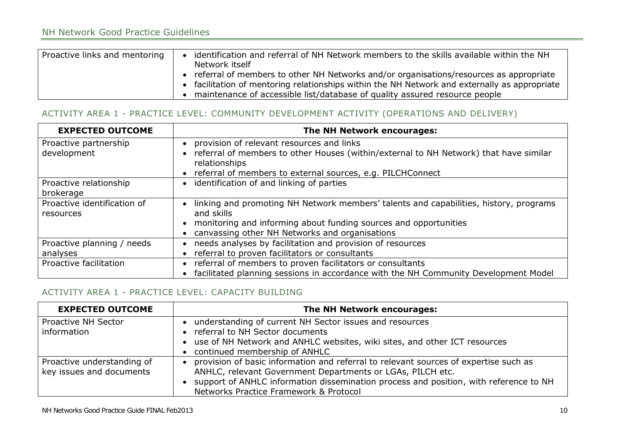# NH Network Good Practice Guidelines

| Proactive links and mentoring | identification and referral of NH Network members to the skills available within the NH<br>Network itself<br>• referral of members to other NH Networks and/or organisations/resources as appropriate<br>facilitation of mentoring relationships within the NH Network and externally as appropriate<br>maintenance of accessible list/database of quality assured resource people |
|-------------------------------|------------------------------------------------------------------------------------------------------------------------------------------------------------------------------------------------------------------------------------------------------------------------------------------------------------------------------------------------------------------------------------|
|-------------------------------|------------------------------------------------------------------------------------------------------------------------------------------------------------------------------------------------------------------------------------------------------------------------------------------------------------------------------------------------------------------------------------|

#### ACTIVITY AREA 1 - PRACTICE LEVEL: COMMUNITY DEVELOPMENT ACTIVITY (OPERATIONS AND DELIVERY)

| <b>EXPECTED OUTCOME</b>                  | The NH Network encourages:                                                                                                           |
|------------------------------------------|--------------------------------------------------------------------------------------------------------------------------------------|
| Proactive partnership<br>development     | • provision of relevant resources and links<br>referral of members to other Houses (within/external to NH Network) that have similar |
|                                          | relationships<br>• referral of members to external sources, e.g. PILCHConnect                                                        |
| Proactive relationship<br>brokerage      | • identification of and linking of parties                                                                                           |
| Proactive identification of<br>resources | linking and promoting NH Network members' talents and capabilities, history, programs<br>and skills                                  |
|                                          | monitoring and informing about funding sources and opportunities                                                                     |
|                                          | canvassing other NH Networks and organisations                                                                                       |
| Proactive planning / needs               | needs analyses by facilitation and provision of resources                                                                            |
| analyses                                 | referral to proven facilitators or consultants                                                                                       |
| Proactive facilitation                   | referral of members to proven facilitators or consultants                                                                            |
|                                          | facilitated planning sessions in accordance with the NH Community Development Model                                                  |

#### ACTIVITY AREA 1 - PRACTICE LEVEL: CAPACITY BUILDING

| <b>EXPECTED OUTCOME</b>                                | The NH Network encourages:                                                                                                                                                                                                                                                            |
|--------------------------------------------------------|---------------------------------------------------------------------------------------------------------------------------------------------------------------------------------------------------------------------------------------------------------------------------------------|
| <b>Proactive NH Sector</b><br>information              | understanding of current NH Sector issues and resources<br>• referral to NH Sector documents<br>• use of NH Network and ANHLC websites, wiki sites, and other ICT resources<br>• continued membership of ANHLC                                                                        |
| Proactive understanding of<br>key issues and documents | provision of basic information and referral to relevant sources of expertise such as<br>ANHLC, relevant Government Departments or LGAs, PILCH etc.<br>support of ANHLC information dissemination process and position, with reference to NH<br>Networks Practice Framework & Protocol |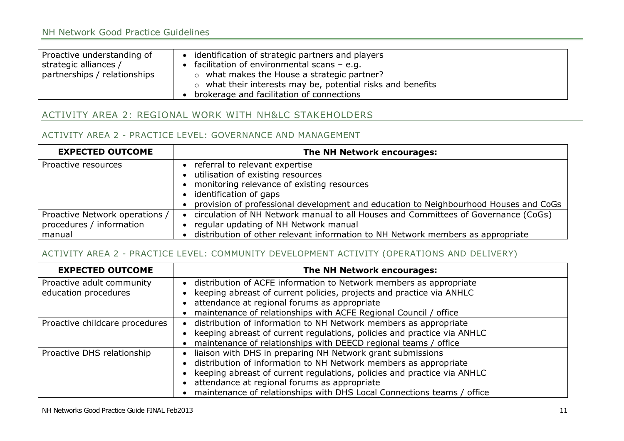| Proactive understanding of<br>strategic alliances /<br>partnerships / relationships | identification of strategic partners and players<br>facilitation of environmental scans $-$ e.g.<br>$\circ$ what makes the House a strategic partner?<br>$\circ$ what their interests may be, potential risks and benefits |
|-------------------------------------------------------------------------------------|----------------------------------------------------------------------------------------------------------------------------------------------------------------------------------------------------------------------------|
|                                                                                     | brokerage and facilitation of connections                                                                                                                                                                                  |

# ACTIVITY AREA 2: REGIONAL WORK WITH NH&LC STAKEHOLDERS

#### ACTIVITY AREA 2 - PRACTICE LEVEL: GOVERNANCE AND MANAGEMENT

| <b>EXPECTED OUTCOME</b>        | The NH Network encourages:                                                           |
|--------------------------------|--------------------------------------------------------------------------------------|
| Proactive resources            | referral to relevant expertise                                                       |
|                                | utilisation of existing resources                                                    |
|                                | • monitoring relevance of existing resources                                         |
|                                | • identification of gaps                                                             |
|                                | provision of professional development and education to Neighbourhood Houses and CoGs |
| Proactive Network operations / | circulation of NH Network manual to all Houses and Committees of Governance (CoGs)   |
| procedures / information       | regular updating of NH Network manual                                                |
| manual                         | distribution of other relevant information to NH Network members as appropriate      |

## ACTIVITY AREA 2 - PRACTICE LEVEL: COMMUNITY DEVELOPMENT ACTIVITY (OPERATIONS AND DELIVERY)

<span id="page-13-0"></span>

| <b>EXPECTED OUTCOME</b>        | The NH Network encourages:                                              |
|--------------------------------|-------------------------------------------------------------------------|
| Proactive adult community      | distribution of ACFE information to Network members as appropriate      |
| education procedures           | keeping abreast of current policies, projects and practice via ANHLC    |
|                                | attendance at regional forums as appropriate                            |
|                                | maintenance of relationships with ACFE Regional Council / office        |
| Proactive childcare procedures | distribution of information to NH Network members as appropriate        |
|                                | keeping abreast of current regulations, policies and practice via ANHLC |
|                                | maintenance of relationships with DEECD regional teams / office         |
| Proactive DHS relationship     | liaison with DHS in preparing NH Network grant submissions              |
|                                | • distribution of information to NH Network members as appropriate      |
|                                | keeping abreast of current regulations, policies and practice via ANHLC |
|                                | • attendance at regional forums as appropriate                          |
|                                | maintenance of relationships with DHS Local Connections teams / office  |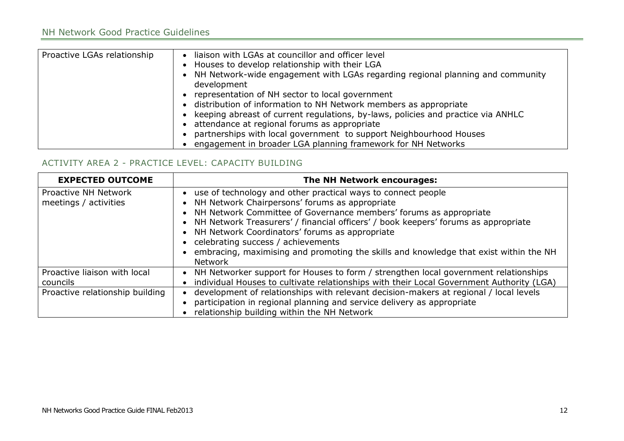| Proactive LGAs relationship | liaison with LGAs at councillor and officer level<br>$\bullet$<br>• Houses to develop relationship with their LGA<br>• NH Network-wide engagement with LGAs regarding regional planning and community<br>development<br>• representation of NH sector to local government<br>• distribution of information to NH Network members as appropriate<br>• keeping abreast of current regulations, by-laws, policies and practice via ANHLC<br>• attendance at regional forums as appropriate<br>partnerships with local government to support Neighbourhood Houses<br>engagement in broader LGA planning framework for NH Networks |
|-----------------------------|-------------------------------------------------------------------------------------------------------------------------------------------------------------------------------------------------------------------------------------------------------------------------------------------------------------------------------------------------------------------------------------------------------------------------------------------------------------------------------------------------------------------------------------------------------------------------------------------------------------------------------|
|-----------------------------|-------------------------------------------------------------------------------------------------------------------------------------------------------------------------------------------------------------------------------------------------------------------------------------------------------------------------------------------------------------------------------------------------------------------------------------------------------------------------------------------------------------------------------------------------------------------------------------------------------------------------------|

## ACTIVITY AREA 2 - PRACTICE LEVEL: CAPACITY BUILDING

| <b>EXPECTED OUTCOME</b>         | The NH Network encourages:                                                                 |
|---------------------------------|--------------------------------------------------------------------------------------------|
| Proactive NH Network            | • use of technology and other practical ways to connect people                             |
| meetings / activities           | • NH Network Chairpersons' forums as appropriate                                           |
|                                 | • NH Network Committee of Governance members' forums as appropriate                        |
|                                 | • NH Network Treasurers' / financial officers' / book keepers' forums as appropriate       |
|                                 | • NH Network Coordinators' forums as appropriate                                           |
|                                 | • celebrating success / achievements                                                       |
|                                 | • embracing, maximising and promoting the skills and knowledge that exist within the NH    |
|                                 | <b>Network</b>                                                                             |
| Proactive liaison with local    | • NH Networker support for Houses to form / strengthen local government relationships      |
| councils                        | • individual Houses to cultivate relationships with their Local Government Authority (LGA) |
| Proactive relationship building | development of relationships with relevant decision-makers at regional / local levels      |
|                                 | participation in regional planning and service delivery as appropriate                     |
|                                 | relationship building within the NH Network                                                |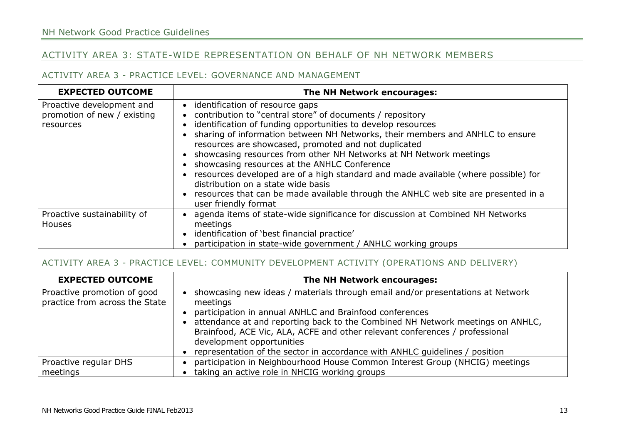# ACTIVITY AREA 3: STATE-WIDE REPRESENTATION ON BEHALF OF NH NETWORK MEMBERS

#### ACTIVITY AREA 3 - PRACTICE LEVEL: GOVERNANCE AND MANAGEMENT

| <b>EXPECTED OUTCOME</b>                                               | The NH Network encourages:                                                                                                                                                                                                                                                                                                                                                                                                                                                                                                                                                                                                                                                  |
|-----------------------------------------------------------------------|-----------------------------------------------------------------------------------------------------------------------------------------------------------------------------------------------------------------------------------------------------------------------------------------------------------------------------------------------------------------------------------------------------------------------------------------------------------------------------------------------------------------------------------------------------------------------------------------------------------------------------------------------------------------------------|
| Proactive development and<br>promotion of new / existing<br>resources | • identification of resource gaps<br>contribution to "central store" of documents / repository<br>identification of funding opportunities to develop resources<br>sharing of information between NH Networks, their members and ANHLC to ensure<br>resources are showcased, promoted and not duplicated<br>• showcasing resources from other NH Networks at NH Network meetings<br>showcasing resources at the ANHLC Conference<br>resources developed are of a high standard and made available (where possible) for<br>distribution on a state wide basis<br>• resources that can be made available through the ANHLC web site are presented in a<br>user friendly format |
| Proactive sustainability of<br><b>Houses</b>                          | • agenda items of state-wide significance for discussion at Combined NH Networks<br>meetings<br>• identification of 'best financial practice'<br>participation in state-wide government / ANHLC working groups                                                                                                                                                                                                                                                                                                                                                                                                                                                              |

#### <span id="page-15-0"></span>ACTIVITY AREA 3 - PRACTICE LEVEL: COMMUNITY DEVELOPMENT ACTIVITY (OPERATIONS AND DELIVERY)

| <b>EXPECTED OUTCOME</b>                                       | The NH Network encourages:                                                                                                                                                                                                                                                                                                                                                                                                         |
|---------------------------------------------------------------|------------------------------------------------------------------------------------------------------------------------------------------------------------------------------------------------------------------------------------------------------------------------------------------------------------------------------------------------------------------------------------------------------------------------------------|
| Proactive promotion of good<br>practice from across the State | showcasing new ideas / materials through email and/or presentations at Network<br>meetings<br>participation in annual ANHLC and Brainfood conferences<br>attendance at and reporting back to the Combined NH Network meetings on ANHLC,<br>Brainfood, ACE Vic, ALA, ACFE and other relevant conferences / professional<br>development opportunities<br>representation of the sector in accordance with ANHLC quidelines / position |
| Proactive regular DHS                                         | participation in Neighbourhood House Common Interest Group (NHCIG) meetings                                                                                                                                                                                                                                                                                                                                                        |
| meetings                                                      | taking an active role in NHCIG working groups                                                                                                                                                                                                                                                                                                                                                                                      |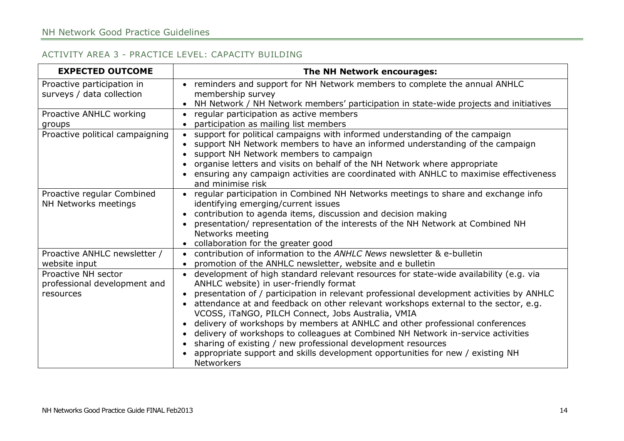#### ACTIVITY AREA 3 - PRACTICE LEVEL: CAPACITY BUILDING

| <b>EXPECTED OUTCOME</b>                                          | The NH Network encourages:                                                                                                                                                                                                                                                                                                                                                                                                                                                                                                                                                                                                                                                                                          |
|------------------------------------------------------------------|---------------------------------------------------------------------------------------------------------------------------------------------------------------------------------------------------------------------------------------------------------------------------------------------------------------------------------------------------------------------------------------------------------------------------------------------------------------------------------------------------------------------------------------------------------------------------------------------------------------------------------------------------------------------------------------------------------------------|
| Proactive participation in<br>surveys / data collection          | • reminders and support for NH Network members to complete the annual ANHLC<br>membership survey                                                                                                                                                                                                                                                                                                                                                                                                                                                                                                                                                                                                                    |
|                                                                  | NH Network / NH Network members' participation in state-wide projects and initiatives                                                                                                                                                                                                                                                                                                                                                                                                                                                                                                                                                                                                                               |
| Proactive ANHLC working<br>groups                                | regular participation as active members<br>$\bullet$<br>participation as mailing list members                                                                                                                                                                                                                                                                                                                                                                                                                                                                                                                                                                                                                       |
| Proactive political campaigning                                  | support for political campaigns with informed understanding of the campaign<br>support NH Network members to have an informed understanding of the campaign<br>support NH Network members to campaign<br>organise letters and visits on behalf of the NH Network where appropriate<br>ensuring any campaign activities are coordinated with ANHLC to maximise effectiveness<br>and minimise risk                                                                                                                                                                                                                                                                                                                    |
| Proactive regular Combined<br>NH Networks meetings               | regular participation in Combined NH Networks meetings to share and exchange info<br>$\bullet$<br>identifying emerging/current issues<br>contribution to agenda items, discussion and decision making<br>presentation/ representation of the interests of the NH Network at Combined NH<br>Networks meeting<br>collaboration for the greater good                                                                                                                                                                                                                                                                                                                                                                   |
| Proactive ANHLC newsletter /<br>website input                    | contribution of information to the ANHLC News newsletter & e-bulletin<br>promotion of the ANHLC newsletter, website and e bulletin                                                                                                                                                                                                                                                                                                                                                                                                                                                                                                                                                                                  |
| Proactive NH sector<br>professional development and<br>resources | development of high standard relevant resources for state-wide availability (e.g. via<br>ANHLC website) in user-friendly format<br>presentation of / participation in relevant professional development activities by ANHLC<br>attendance at and feedback on other relevant workshops external to the sector, e.g.<br>VCOSS, iTaNGO, PILCH Connect, Jobs Australia, VMIA<br>delivery of workshops by members at ANHLC and other professional conferences<br>delivery of workshops to colleagues at Combined NH Network in-service activities<br>sharing of existing / new professional development resources<br>appropriate support and skills development opportunities for new / existing NH<br><b>Networkers</b> |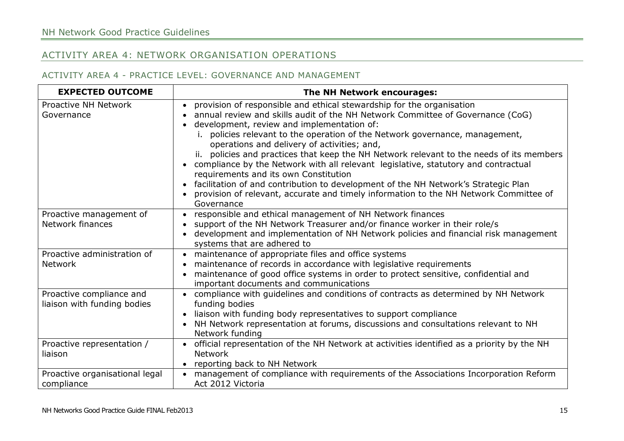# ACTIVITY AREA 4: NETWORK ORGANISATION OPERATIONS

#### ACTIVITY AREA 4 - PRACTICE LEVEL: GOVERNANCE AND MANAGEMENT

<span id="page-17-0"></span>

| <b>EXPECTED OUTCOME</b>                                 | The NH Network encourages:                                                                                                                                                                                                                                                                                                                                                                                                                                                                                                                                                                                                                                                                                                                                |
|---------------------------------------------------------|-----------------------------------------------------------------------------------------------------------------------------------------------------------------------------------------------------------------------------------------------------------------------------------------------------------------------------------------------------------------------------------------------------------------------------------------------------------------------------------------------------------------------------------------------------------------------------------------------------------------------------------------------------------------------------------------------------------------------------------------------------------|
| Proactive NH Network<br>Governance                      | provision of responsible and ethical stewardship for the organisation<br>annual review and skills audit of the NH Network Committee of Governance (CoG)<br>development, review and implementation of:<br>policies relevant to the operation of the Network governance, management,<br>operations and delivery of activities; and,<br>ii. policies and practices that keep the NH Network relevant to the needs of its members<br>compliance by the Network with all relevant legislative, statutory and contractual<br>requirements and its own Constitution<br>facilitation of and contribution to development of the NH Network's Strategic Plan<br>provision of relevant, accurate and timely information to the NH Network Committee of<br>Governance |
| Proactive management of<br>Network finances             | responsible and ethical management of NH Network finances<br>support of the NH Network Treasurer and/or finance worker in their role/s<br>development and implementation of NH Network policies and financial risk management<br>systems that are adhered to                                                                                                                                                                                                                                                                                                                                                                                                                                                                                              |
| Proactive administration of<br><b>Network</b>           | • maintenance of appropriate files and office systems<br>maintenance of records in accordance with legislative requirements<br>maintenance of good office systems in order to protect sensitive, confidential and<br>important documents and communications                                                                                                                                                                                                                                                                                                                                                                                                                                                                                               |
| Proactive compliance and<br>liaison with funding bodies | compliance with guidelines and conditions of contracts as determined by NH Network<br>funding bodies<br>liaison with funding body representatives to support compliance<br>$\bullet$<br>NH Network representation at forums, discussions and consultations relevant to NH<br>Network funding                                                                                                                                                                                                                                                                                                                                                                                                                                                              |
| Proactive representation /<br>liaison                   | • official representation of the NH Network at activities identified as a priority by the NH<br><b>Network</b><br>reporting back to NH Network                                                                                                                                                                                                                                                                                                                                                                                                                                                                                                                                                                                                            |
| Proactive organisational legal<br>compliance            | management of compliance with requirements of the Associations Incorporation Reform<br>Act 2012 Victoria                                                                                                                                                                                                                                                                                                                                                                                                                                                                                                                                                                                                                                                  |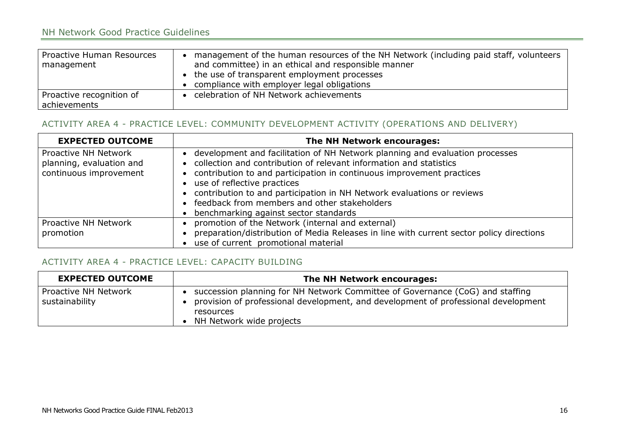# NH Network Good Practice Guidelines

| Proactive Human Resources<br>management  | management of the human resources of the NH Network (including paid staff, volunteers<br>and committee) in an ethical and responsible manner<br>• the use of transparent employment processes<br>compliance with employer legal obligations |
|------------------------------------------|---------------------------------------------------------------------------------------------------------------------------------------------------------------------------------------------------------------------------------------------|
| Proactive recognition of<br>achievements | celebration of NH Network achievements                                                                                                                                                                                                      |

#### ACTIVITY AREA 4 - PRACTICE LEVEL: COMMUNITY DEVELOPMENT ACTIVITY (OPERATIONS AND DELIVERY)

| <b>EXPECTED OUTCOME</b>                                                    | The NH Network encourages:                                                                                                                                                                                                                                                                                                                                                                                                                  |
|----------------------------------------------------------------------------|---------------------------------------------------------------------------------------------------------------------------------------------------------------------------------------------------------------------------------------------------------------------------------------------------------------------------------------------------------------------------------------------------------------------------------------------|
| Proactive NH Network<br>planning, evaluation and<br>continuous improvement | • development and facilitation of NH Network planning and evaluation processes<br>• collection and contribution of relevant information and statistics<br>• contribution to and participation in continuous improvement practices<br>• use of reflective practices<br>• contribution to and participation in NH Network evaluations or reviews<br>• feedback from members and other stakeholders<br>• benchmarking against sector standards |
| Proactive NH Network                                                       | promotion of the Network (internal and external)                                                                                                                                                                                                                                                                                                                                                                                            |
| promotion                                                                  | preparation/distribution of Media Releases in line with current sector policy directions                                                                                                                                                                                                                                                                                                                                                    |
|                                                                            | use of current promotional material                                                                                                                                                                                                                                                                                                                                                                                                         |

#### ACTIVITY AREA 4 - PRACTICE LEVEL: CAPACITY BUILDING

| <b>EXPECTED OUTCOME</b>                | The NH Network encourages:                                                                                                                                                                                   |
|----------------------------------------|--------------------------------------------------------------------------------------------------------------------------------------------------------------------------------------------------------------|
| Proactive NH Network<br>sustainability | succession planning for NH Network Committee of Governance (CoG) and staffing<br>provision of professional development, and development of professional development<br>resources<br>NH Network wide projects |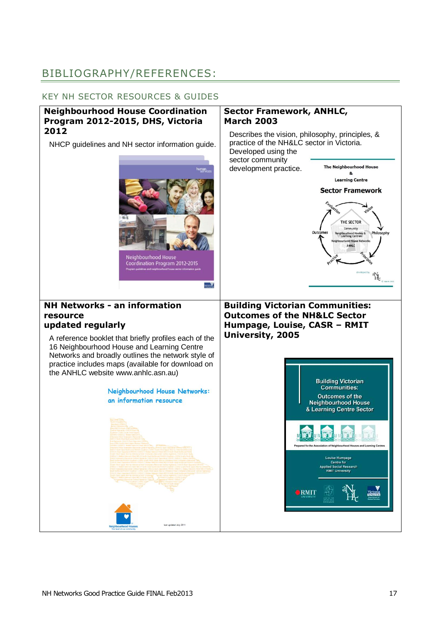# <span id="page-19-0"></span>BIBLIOGRAPHY/REFERENCES:

#### KEY NH SECTOR RESOURCES & GUIDES

#### **Neighbourhood House Coordination Program 2012-2015, DHS, Victoria 2012**

NHCP guidelines and NH sector information guide.



#### **Sector Framework, ANHLC, March 2003**

Describes the vision, philosophy, principles, & practice of the NH&LC sector in Victoria. Developed using the

 $\bullet$  RMIT

sector community development practice.



#### **NH Networks - an information resource updated regularly**

A reference booklet that briefly profiles each of the 16 Neighbourhood House and Learning Centre Networks and broadly outlines the network style of practice includes maps (available for download on the ANHLC website www.anhlc.asn.au)

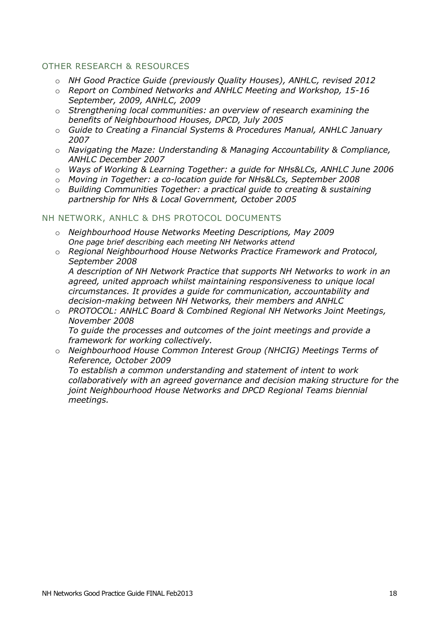### OTHER RESEARCH & RESOURCES

- o *NH Good Practice Guide (previously Quality Houses), ANHLC, revised 2012*
- o *Report on Combined Networks and ANHLC Meeting and Workshop, 15-16 September, 2009, ANHLC, 2009*
- o *Strengthening local communities: an overview of research examining the benefits of Neighbourhood Houses, DPCD, July 2005*
- o *Guide to Creating a Financial Systems & Procedures Manual, ANHLC January 2007*
- o *Navigating the Maze: Understanding & Managing Accountability & Compliance, ANHLC December 2007*
- o *Ways of Working & Learning Together: a guide for NHs&LCs, ANHLC June 2006*
- o *Moving in Together: a co-location guide for NHs&LCs, September 2008*
- o *Building Communities Together: a practical guide to creating & sustaining partnership for NHs & Local Government, October 2005*

#### NH NETWORK, ANHLC & DHS PROTOCOL DOCUMENTS

- o *Neighbourhood House Networks Meeting Descriptions, May 2009 One page brief describing each meeting NH Networks attend*
- o *Regional Neighbourhood House Networks Practice Framework and Protocol, September 2008 A description of NH Network Practice that supports NH Networks to work in an agreed, united approach whilst maintaining responsiveness to unique local circumstances. It provides a guide for communication, accountability and decision-making between NH Networks, their members and ANHLC*
- o *PROTOCOL: ANHLC Board & Combined Regional NH Networks Joint Meetings, November 2008 To guide the processes and outcomes of the joint meetings and provide a framework for working collectively.*
- o *Neighbourhood House Common Interest Group (NHCIG) Meetings Terms of Reference, October 2009*

*To establish a common understanding and statement of intent to work collaboratively with an agreed governance and decision making structure for the joint Neighbourhood House Networks and DPCD Regional Teams biennial meetings.*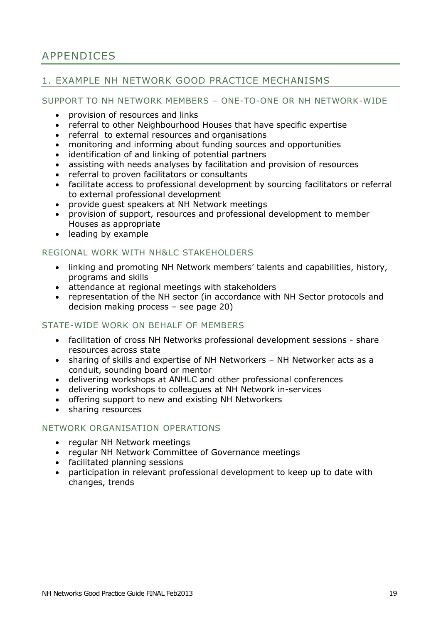# <span id="page-21-0"></span>APPENDICES

# <span id="page-21-1"></span>1. EXAMPLE NH NETWORK GOOD PRACTICE MECHANISMS

#### SUPPORT TO NH NETWORK MEMBERS – ONE-TO-ONE OR NH NETWORK-WIDE

- provision of resources and links
- referral to other Neighbourhood Houses that have specific expertise
- referral to external resources and organisations
- monitoring and informing about funding sources and opportunities
- identification of and linking of potential partners
- assisting with needs analyses by facilitation and provision of resources
- referral to proven facilitators or consultants
- facilitate access to professional development by sourcing facilitators or referral to external professional development
- provide guest speakers at NH Network meetings
- provision of support, resources and professional development to member Houses as appropriate
- leading by example

#### REGIONAL WORK WITH NH&LC STAKEHOLDERS

- linking and promoting NH Network members' talents and capabilities, history, programs and skills
- attendance at regional meetings with stakeholders
- representation of the NH sector (in accordance with NH Sector protocols and decision making process – see page 20)

#### STATE-WIDE WORK ON BEHALF OF MEMBERS

- facilitation of cross NH Networks professional development sessions share resources across state
- sharing of skills and expertise of NH Networkers NH Networker acts as a conduit, sounding board or mentor
- delivering workshops at ANHLC and other professional conferences
- delivering workshops to colleagues at NH Network in-services
- offering support to new and existing NH Networkers
- sharing resources

#### NETWORK ORGANISATION OPERATIONS

- regular NH Network meetings
- regular NH Network Committee of Governance meetings
- facilitated planning sessions
- participation in relevant professional development to keep up to date with changes, trends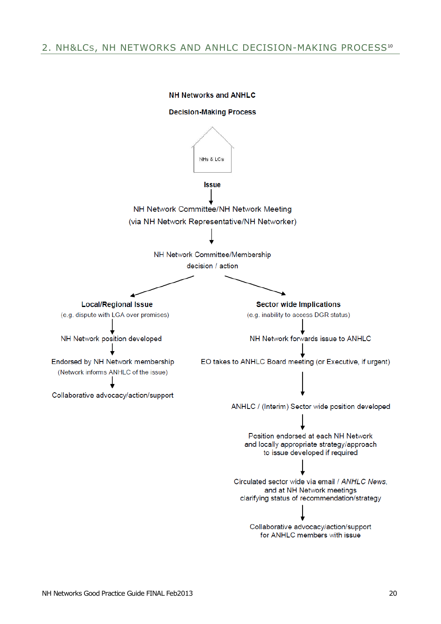## <span id="page-22-0"></span>2. NH&LCS, NH NETWORKS AND ANHLC DECISION-MAKING PROCESS<sup>10</sup>

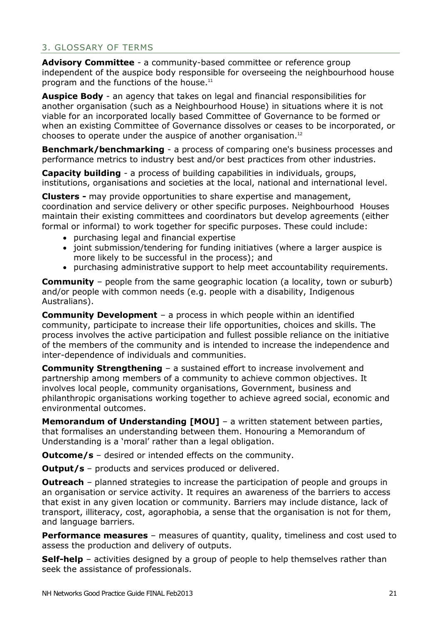## <span id="page-23-0"></span>3. GLOSSARY OF TERMS

**Advisory Committee** - a community-based committee or reference group independent of the auspice body responsible for overseeing the neighbourhood house program and the functions of the house.<sup>11</sup>

**Auspice Body** - an agency that takes on legal and financial responsibilities for another organisation (such as a Neighbourhood House) in situations where it is not viable for an incorporated locally based Committee of Governance to be formed or when an existing Committee of Governance dissolves or ceases to be incorporated, or chooses to operate under the auspice of another organisation.<sup>12</sup>

**Benchmark/benchmarking** - a process of comparing one's business processes and performance metrics to industry best and/or best practices from other industries.

**Capacity building** - a process of building capabilities in individuals, groups, institutions, organisations and societies at the local, national and international level.

**Clusters -** may provide opportunities to share expertise and management, coordination and service delivery or other specific purposes. Neighbourhood Houses maintain their existing committees and coordinators but develop agreements (either formal or informal) to work together for specific purposes. These could include:

- purchasing legal and financial expertise
- joint submission/tendering for funding initiatives (where a larger auspice is more likely to be successful in the process); and
- purchasing administrative support to help meet accountability requirements.

**Community** – people from the same geographic location (a locality, town or suburb) and/or people with common needs (e.g. people with a disability, Indigenous Australians).

**Community Development** – a process in which people within an identified community, participate to increase their life opportunities, choices and skills. The process involves the active participation and fullest possible reliance on the initiative of the members of the community and is intended to increase the independence and inter-dependence of individuals and communities.

**Community Strengthening** – a sustained effort to increase involvement and partnership among members of a community to achieve common objectives. It involves local people, community organisations, Government, business and philanthropic organisations working together to achieve agreed social, economic and environmental outcomes.

**Memorandum of Understanding [MOU]** – a written statement between parties, that formalises an understanding between them. Honouring a Memorandum of Understanding is a 'moral' rather than a legal obligation.

**Outcome/s** – desired or intended effects on the community.

**Output/s** – products and services produced or delivered.

**Outreach** – planned strategies to increase the participation of people and groups in an organisation or service activity. It requires an awareness of the barriers to access that exist in any given location or community. Barriers may include distance, lack of transport, illiteracy, cost, agoraphobia, a sense that the organisation is not for them, and language barriers.

**Performance measures** – measures of quantity, quality, timeliness and cost used to assess the production and delivery of outputs.

**Self-help** – activities designed by a group of people to help themselves rather than seek the assistance of professionals.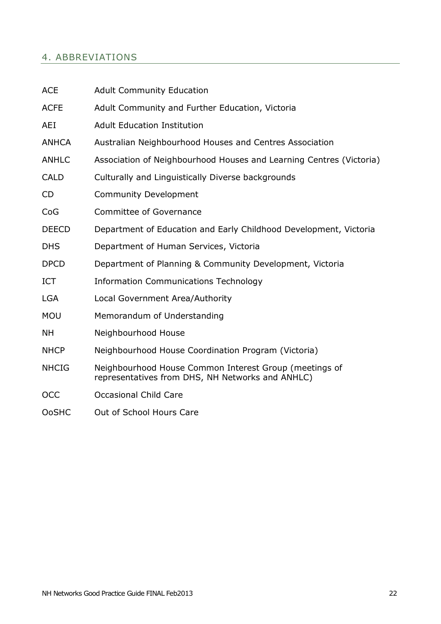# <span id="page-24-0"></span>4. ABBREVIATIONS

| <b>ACE</b>   | <b>Adult Community Education</b>                                                                           |
|--------------|------------------------------------------------------------------------------------------------------------|
| <b>ACFE</b>  | Adult Community and Further Education, Victoria                                                            |
| AEI          | <b>Adult Education Institution</b>                                                                         |
| <b>ANHCA</b> | Australian Neighbourhood Houses and Centres Association                                                    |
| <b>ANHLC</b> | Association of Neighbourhood Houses and Learning Centres (Victoria)                                        |
| <b>CALD</b>  | Culturally and Linguistically Diverse backgrounds                                                          |
| <b>CD</b>    | <b>Community Development</b>                                                                               |
| CoG          | <b>Committee of Governance</b>                                                                             |
| <b>DEECD</b> | Department of Education and Early Childhood Development, Victoria                                          |
| <b>DHS</b>   | Department of Human Services, Victoria                                                                     |
| <b>DPCD</b>  | Department of Planning & Community Development, Victoria                                                   |
| <b>ICT</b>   | <b>Information Communications Technology</b>                                                               |
| <b>LGA</b>   | Local Government Area/Authority                                                                            |
| <b>MOU</b>   | Memorandum of Understanding                                                                                |
| <b>NH</b>    | Neighbourhood House                                                                                        |
| <b>NHCP</b>  | Neighbourhood House Coordination Program (Victoria)                                                        |
| <b>NHCIG</b> | Neighbourhood House Common Interest Group (meetings of<br>representatives from DHS, NH Networks and ANHLC) |
| <b>OCC</b>   | <b>Occasional Child Care</b>                                                                               |
| <b>OoSHC</b> | Out of School Hours Care                                                                                   |